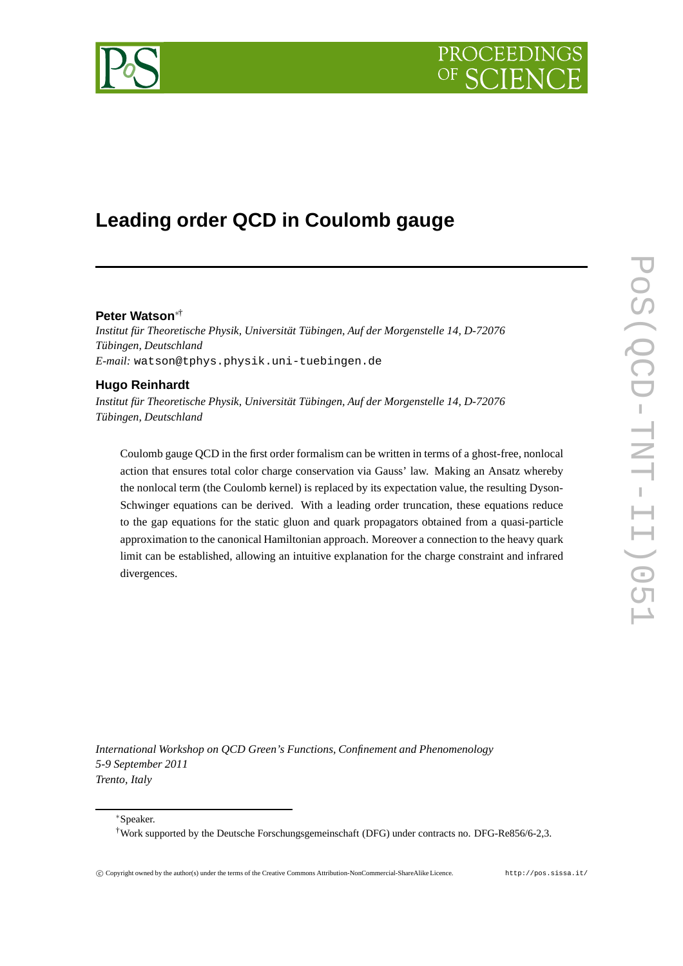



# **Leading order QCD in Coulomb gauge**

## **Peter Watson**∗†

*Institut für Theoretische Physik, Universität Tübingen, Auf der Morgenstelle 14, D-72076 Tübingen, Deutschland E-mail:* watson@tphys.physik.uni-tuebingen.de

# **Hugo Reinhardt**

*Institut für Theoretische Physik, Universität Tübingen, Auf der Morgenstelle 14, D-72076 Tübingen, Deutschland*

Coulomb gauge QCD in the first order formalism can be written in terms of a ghost-free, nonlocal action that ensures total color charge conservation via Gauss' law. Making an Ansatz whereby the nonlocal term (the Coulomb kernel) is replaced by its expectation value, the resulting Dyson-Schwinger equations can be derived. With a leading order truncation, these equations reduce to the gap equations for the static gluon and quark propagators obtained from a quasi-particle approximation to the canonical Hamiltonian approach. Moreover a connection to the heavy quark limit can be established, allowing an intuitive explanation for the charge constraint and infrared divergences.

*International Workshop on QCD Green's Functions, Confinement and Phenomenology 5-9 September 2011 Trento, Italy*

<sup>∗</sup>Speaker.

<sup>†</sup>Work supported by the Deutsche Forschungsgemeinschaft (DFG) under contracts no. DFG-Re856/6-2,3.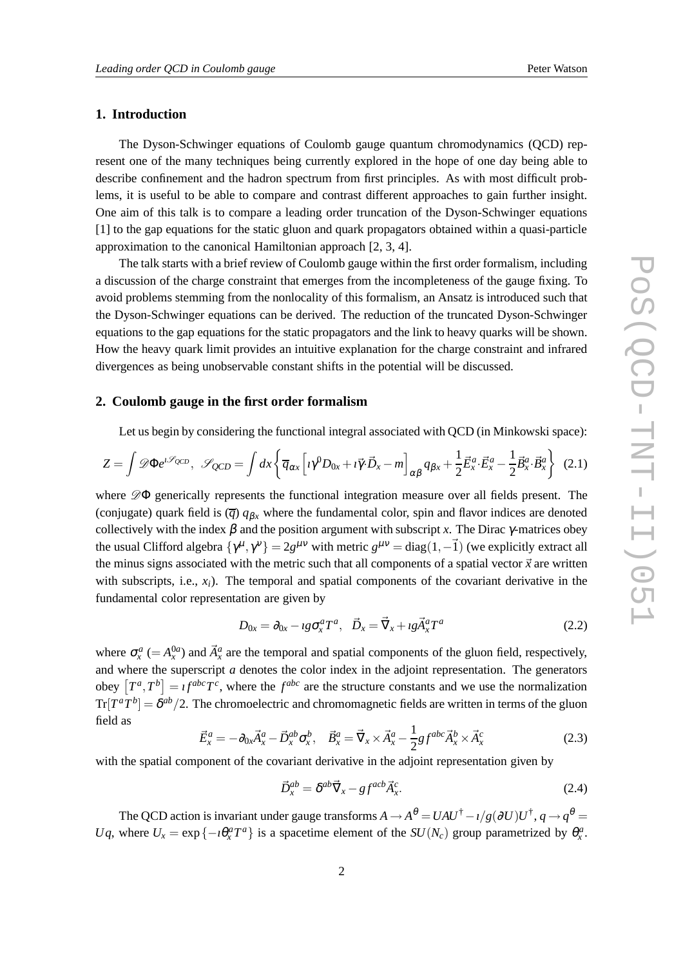## **1. Introduction**

The Dyson-Schwinger equations of Coulomb gauge quantum chromodynamics (QCD) represent one of the many techniques being currently explored in the hope of one day being able to describe confinement and the hadron spectrum from first principles. As with most difficult problems, it is useful to be able to compare and contrast different approaches to gain further insight. One aim of this talk is to compare a leading order truncation of the Dyson-Schwinger equations [1] to the gap equations for the static gluon and quark propagators obtained within a quasi-particle approximation to the canonical Hamiltonian approach [2, 3, 4].

The talk starts with a brief review of Coulomb gauge within the first order formalism, including a discussion of the charge constraint that emerges from the incompleteness of the gauge fixing. To avoid problems stemming from the nonlocality of this formalism, an Ansatz is introduced such that the Dyson-Schwinger equations can be derived. The reduction of the truncated Dyson-Schwinger equations to the gap equations for the static propagators and the link to heavy quarks will be shown. How the heavy quark limit provides an intuitive explanation for the charge constraint and infrared divergences as being unobservable constant shifts in the potential will be discussed.

## **2. Coulomb gauge in the first order formalism**

Let us begin by considering the functional integral associated with QCD (in Minkowski space):

$$
Z = \int \mathscr{D} \Phi e^{i\mathscr{S}_{QCD}}, \quad \mathscr{S}_{QCD} = \int dx \left\{ \overline{q}_{\alpha x} \left[ i\gamma^0 D_{0x} + i\overline{\gamma} \cdot \overrightarrow{D}_x - m \right]_{\alpha\beta} q_{\beta x} + \frac{1}{2} \overrightarrow{E}_x^a \cdot \overrightarrow{E}_x^a - \frac{1}{2} \overrightarrow{B}_x^a \cdot \overrightarrow{B}_x^a \right\} \tag{2.1}
$$

where  $\mathscr{D}\Phi$  generically represents the functional integration measure over all fields present. The (conjugate) quark field is  $(\overline{q}) q_{\beta x}$  where the fundamental color, spin and flavor indices are denoted collectively with the index  $\beta$  and the position argument with subscript *x*. The Dirac  $\gamma$ -matrices obey the usual Clifford algebra  $\{\gamma^{\mu}, \gamma^{\nu}\}=2g^{\mu\nu}$  with metric  $g^{\mu\nu} = \text{diag}(1, -\vec{1})$  (we explicitly extract all the minus signs associated with the metric such that all components of a spatial vector  $\vec{x}$  are written with subscripts, i.e.,  $x_i$ ). The temporal and spatial components of the covariant derivative in the fundamental color representation are given by

$$
D_{0x} = \partial_{0x} - \iota g \sigma_x^a T^a, \quad \vec{D}_x = \vec{\nabla}_x + \iota g \vec{A}_x^a T^a \tag{2.2}
$$

where  $\sigma_x^a$  (=  $A_x^{0a}$ ) and  $\vec{A}_x^a$  are the temporal and spatial components of the gluon field, respectively, and where the superscript *a* denotes the color index in the adjoint representation. The generators obey  $[T^a, T^b] = \iota f^{abc} T^c$ , where the  $f^{abc}$  are the structure constants and we use the normalization  $Tr[T^aT^b] = \delta^{ab}/2$ . The chromoelectric and chromomagnetic fields are written in terms of the gluon field as

$$
\vec{E}_x^a = -\partial_{0x}\vec{A}_x^a - \vec{D}_x^{ab}\sigma_x^b, \quad \vec{B}_x^a = \vec{\nabla}_x \times \vec{A}_x^a - \frac{1}{2}gf^{abc}\vec{A}_x^b \times \vec{A}_x^c
$$
\n(2.3)

with the spatial component of the covariant derivative in the adjoint representation given by

$$
\vec{D}_x^{ab} = \delta^{ab} \vec{\nabla}_x - g f^{acb} \vec{A}_x^c.
$$
 (2.4)

The QCD action is invariant under gauge transforms  $A \to A^{\theta} = UAU^{\dagger} - i/g(\partial U)U^{\dagger}$ ,  $q \to q^{\theta} =$ *Uq*, where  $U_x = \exp\{-i\theta_x^a T^a\}$  is a spacetime element of the  $SU(N_c)$  group parametrized by  $\theta_x^a$ .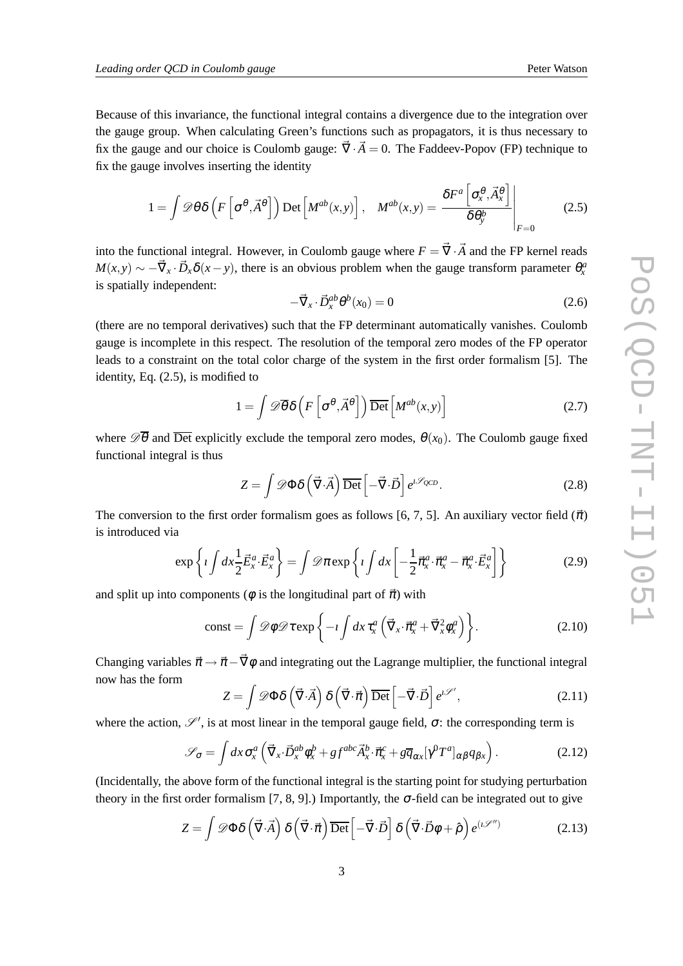Because of this invariance, the functional integral contains a divergence due to the integration over the gauge group. When calculating Green's functions such as propagators, it is thus necessary to fix the gauge and our choice is Coulomb gauge:  $\vec{\nabla} \cdot \vec{A} = 0$ . The Faddeev-Popov (FP) technique to fix the gauge involves inserting the identity

$$
1 = \int \mathscr{D}\theta \delta\left(F\left[\sigma^{\theta}, \vec{A}^{\theta}\right]\right) \mathrm{Det}\left[M^{ab}(x, y)\right], \quad M^{ab}(x, y) = \frac{\delta F^{a}\left[\sigma_{x}^{\theta}, \vec{A}_{x}^{\theta}\right]}{\delta \theta_{y}^{b}}\Bigg|_{F=0}
$$
(2.5)

into the functional integral. However, in Coulomb gauge where  $F = \vec{\nabla} \cdot \vec{A}$  and the FP kernel reads  $M(x, y) \sim -\vec{\nabla}_x \cdot \vec{D}_x \delta(x - y)$ , there is an obvious problem when the gauge transform parameter  $\theta_x^a$ is spatially independent:

$$
-\vec{\nabla}_x \cdot \vec{D}_x^{ab} \theta^b(x_0) = 0 \tag{2.6}
$$

(there are no temporal derivatives) such that the FP determinant automatically vanishes. Coulomb gauge is incomplete in this respect. The resolution of the temporal zero modes of the FP operator leads to a constraint on the total color charge of the system in the first order formalism [5]. The identity, Eq. (2.5), is modified to

$$
1 = \int \mathscr{D}\overline{\theta} \delta\left(F\left[\sigma^{\theta}, \vec{A}^{\theta}\right]\right) \overline{\mathrm{Det}} \left[M^{ab}(x, y)\right]
$$
 (2.7)

where  $\mathscr{D}\overline{\theta}$  and  $\overline{\text{Det}}$  explicitly exclude the temporal zero modes,  $\theta(x_0)$ . The Coulomb gauge fixed functional integral is thus

$$
Z = \int \mathscr{D}\Phi \delta\left(\vec{\nabla} \cdot \vec{A}\right) \overline{\text{Det}} \left[-\vec{\nabla} \cdot \vec{D}\right] e^{i\mathscr{S}_{QCD}}.
$$
 (2.8)

The conversion to the first order formalism goes as follows [6, 7, 5]. An auxiliary vector field  $(\vec{\pi})$ is introduced via

$$
\exp\left\{i\int dx \frac{1}{2}\vec{E}_x^a \cdot \vec{E}_x^a\right\} = \int \mathcal{D}\pi \exp\left\{i\int dx \left[-\frac{1}{2}\vec{\pi}_x^a \cdot \vec{\pi}_x^a - \vec{\pi}_x^a \cdot \vec{E}_x^a\right]\right\} \tag{2.9}
$$

and split up into components ( $\phi$  is the longitudinal part of  $\vec{\pi}$ ) with

$$
\text{const} = \int \mathscr{D}\phi \mathscr{D}\tau \exp\bigg\{-\iota \int dx \,\tau_x^a \left(\vec{\nabla}_x \cdot \vec{\pi}_x^a + \vec{\nabla}_x^2 \phi_x^a\right)\bigg\}.\tag{2.10}
$$

Changing variables  $\vec{\pi} \rightarrow \vec{\pi} - \vec{\nabla}\phi$  and integrating out the Lagrange multiplier, the functional integral now has the form

$$
Z = \int \mathscr{D}\Phi \delta\left(\vec{\nabla} \cdot \vec{A}\right) \delta\left(\vec{\nabla} \cdot \vec{\pi}\right) \overline{\text{Det}} \left[-\vec{\nabla} \cdot \vec{D}\right] e^{i\mathscr{S}'},\tag{2.11}
$$

where the action,  $\mathscr{S}'$ , is at most linear in the temporal gauge field,  $\sigma$ : the corresponding term is

$$
\mathscr{S}_{\sigma} = \int dx \,\sigma_x^a \left( \vec{\nabla}_x \cdot \vec{D}_x^{ab} \phi_x^b + gf^{abc} \vec{A}_x^b \cdot \vec{\pi}_x^c + g \overline{q}_{\alpha x} [\gamma^0 T^a]_{\alpha \beta} q_{\beta x} \right). \tag{2.12}
$$

(Incidentally, the above form of the functional integral is the starting point for studying perturbation theory in the first order formalism [7, 8, 9].) Importantly, the  $\sigma$ -field can be integrated out to give

$$
Z = \int \mathscr{D}\Phi \delta\left(\vec{\nabla}\cdot\vec{A}\right) \delta\left(\vec{\nabla}\cdot\vec{\pi}\right) \overline{\text{Det}} \left[-\vec{\nabla}\cdot\vec{D}\right] \delta\left(\vec{\nabla}\cdot\vec{D}\phi + \hat{\rho}\right) e^{(\iota\mathscr{S}'')} \tag{2.13}
$$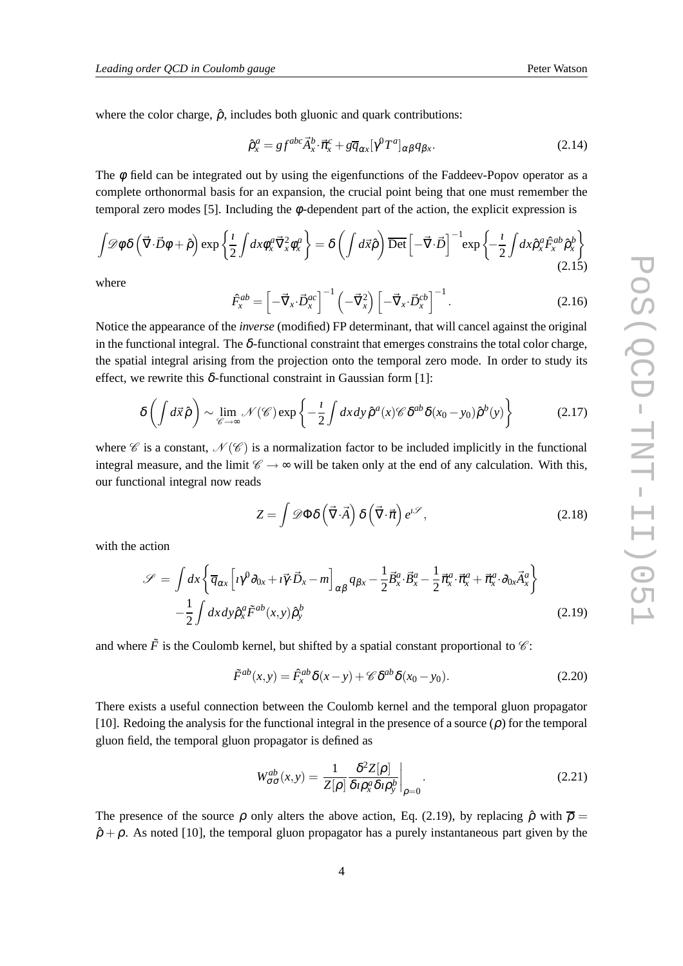where the color charge,  $\hat{\rho}$ , includes both gluonic and quark contributions:

$$
\hat{\rho}_x^a = gf^{abc}\vec{A}_x^b \cdot \vec{\pi}_x^c + g\overline{q}_{\alpha x}[\gamma^0 T^a]_{\alpha\beta}q_{\beta x}.
$$
\n(2.14)

The  $\phi$  field can be integrated out by using the eigenfunctions of the Faddeev-Popov operator as a complete orthonormal basis for an expansion, the crucial point being that one must remember the temporal zero modes [5]. Including the  $\phi$ -dependent part of the action, the explicit expression is

$$
\int \mathscr{D}\phi \, \delta\left(\vec{\nabla} \cdot \vec{D} \phi + \hat{\rho}\right) \exp\left\{\frac{\imath}{2} \int dx \phi_x^a \vec{\nabla}_x^2 \phi_x^a\right\} = \delta\left(\int d\vec{x} \hat{\rho}\right) \overline{\text{Det}} \left[-\vec{\nabla} \cdot \vec{D}\right]^{-1} \exp\left\{-\frac{\imath}{2} \int dx \hat{\rho}_x^a \hat{F}_x^{ab} \hat{\rho}_x^b\right\}
$$
\n(2.15)

where

$$
\hat{F}_x^{ab} = \left[ -\vec{\nabla}_x \cdot \vec{D}_x^{ac} \right]^{-1} \left( -\vec{\nabla}_x^2 \right) \left[ -\vec{\nabla}_x \cdot \vec{D}_x^{cb} \right]^{-1}.
$$
\n(2.16)

Notice the appearance of the *inverse* (modified) FP determinant, that will cancel against the original in the functional integral. The  $\delta$ -functional constraint that emerges constrains the total color charge, the spatial integral arising from the projection onto the temporal zero mode. In order to study its effect, we rewrite this  $\delta$ -functional constraint in Gaussian form [1]:

$$
\delta\left(\int d\vec{x}\,\hat{\rho}\right) \sim \lim_{\mathscr{C}\to\infty} \mathscr{N}(\mathscr{C}) \exp\left\{-\frac{\imath}{2}\int dx\,dy\,\hat{\rho}^a(x)\mathscr{C}\,\delta^{ab}\delta(x_0-y_0)\hat{\rho}^b(y)\right\} \tag{2.17}
$$

where  $\mathscr C$  is a constant,  $\mathscr N(\mathscr C)$  is a normalization factor to be included implicitly in the functional integral measure, and the limit  $\mathscr{C} \rightarrow \infty$  will be taken only at the end of any calculation. With this, our functional integral now reads

$$
Z = \int \mathscr{D}\Phi \delta\left(\vec{\nabla} \cdot \vec{A}\right) \delta\left(\vec{\nabla} \cdot \vec{\pi}\right) e^{i\mathscr{S}},\tag{2.18}
$$

with the action

$$
\mathcal{S} = \int dx \left\{ \overline{q}_{\alpha x} \left[ i \gamma^0 \partial_{0x} + i \overline{\gamma} \cdot \overline{D}_x - m \right]_{\alpha \beta} q_{\beta x} - \frac{1}{2} \overline{B}_x^a \cdot \overline{B}_x^a - \frac{1}{2} \overline{\pi}_x^a \cdot \overline{\pi}_x^a + \overline{\pi}_x^a \cdot \partial_{0x} \overline{A}_x^a \right\} - \frac{1}{2} \int dx dy \hat{p}_x^a \tilde{F}^{ab}(x, y) \hat{p}_y^b
$$
(2.19)

and where  $\tilde{F}$  is the Coulomb kernel, but shifted by a spatial constant proportional to  $\mathcal{C}$ :

$$
\tilde{F}^{ab}(x,y) = \hat{F}_x^{ab} \delta(x-y) + \mathcal{C} \delta^{ab} \delta(x_0 - y_0). \tag{2.20}
$$

There exists a useful connection between the Coulomb kernel and the temporal gluon propagator [10]. Redoing the analysis for the functional integral in the presence of a source  $(\rho)$  for the temporal gluon field, the temporal gluon propagator is defined as

$$
W_{\sigma\sigma}^{ab}(x,y) = \frac{1}{Z[\rho]} \frac{\delta^2 Z[\rho]}{\delta \iota \rho_x^a \delta \iota \rho_y^b} \bigg|_{\rho=0}.
$$
 (2.21)

The presence of the source  $\rho$  only alters the above action, Eq. (2.19), by replacing  $\hat{\rho}$  with  $\overline{\rho}$  =  $\hat{\rho} + \rho$ . As noted [10], the temporal gluon propagator has a purely instantaneous part given by the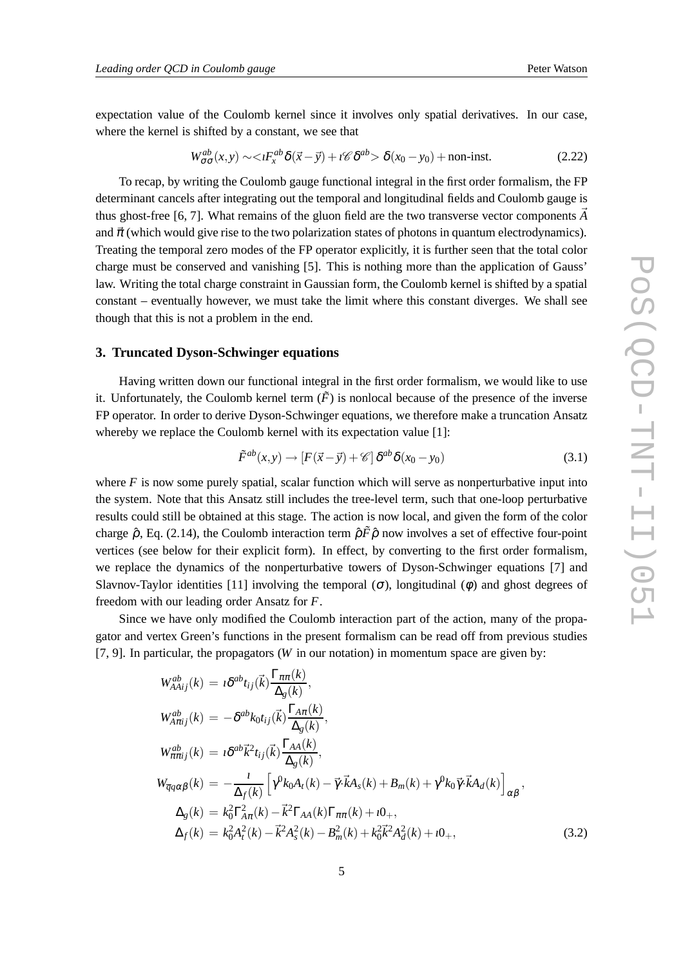expectation value of the Coulomb kernel since it involves only spatial derivatives. In our case, where the kernel is shifted by a constant, we see that

$$
W_{\sigma\sigma}^{ab}(x,y) \sim \langle I F_x^{ab} \delta(\vec{x} - \vec{y}) + i \mathscr{C} \delta^{ab} \rangle \delta(x_0 - y_0) + \text{non-inst.}
$$
 (2.22)

To recap, by writing the Coulomb gauge functional integral in the first order formalism, the FP determinant cancels after integrating out the temporal and longitudinal fields and Coulomb gauge is thus ghost-free [6, 7]. What remains of the gluon field are the two transverse vector components  $\vec{A}$ and  $\vec{\pi}$  (which would give rise to the two polarization states of photons in quantum electrodynamics). Treating the temporal zero modes of the FP operator explicitly, it is further seen that the total color charge must be conserved and vanishing [5]. This is nothing more than the application of Gauss' law. Writing the total charge constraint in Gaussian form, the Coulomb kernel is shifted by a spatial constant – eventually however, we must take the limit where this constant diverges. We shall see though that this is not a problem in the end.

## **3. Truncated Dyson-Schwinger equations**

Having written down our functional integral in the first order formalism, we would like to use it. Unfortunately, the Coulomb kernel term  $(\tilde{F})$  is nonlocal because of the presence of the inverse FP operator. In order to derive Dyson-Schwinger equations, we therefore make a truncation Ansatz whereby we replace the Coulomb kernel with its expectation value [1]:

$$
\tilde{F}^{ab}(x,y) \to [F(\vec{x} - \vec{y}) + \mathscr{C}] \, \delta^{ab} \delta(x_0 - y_0) \tag{3.1}
$$

where  $F$  is now some purely spatial, scalar function which will serve as nonperturbative input into the system. Note that this Ansatz still includes the tree-level term, such that one-loop perturbative results could still be obtained at this stage. The action is now local, and given the form of the color charge  $\hat{\rho}$ , Eq. (2.14), the Coulomb interaction term  $\hat{\rho} \tilde{F} \hat{\rho}$  now involves a set of effective four-point vertices (see below for their explicit form). In effect, by converting to the first order formalism, we replace the dynamics of the nonperturbative towers of Dyson-Schwinger equations [7] and Slavnov-Taylor identities [11] involving the temporal  $(\sigma)$ , longitudinal  $(\phi)$  and ghost degrees of freedom with our leading order Ansatz for *F*.

Since we have only modified the Coulomb interaction part of the action, many of the propagator and vertex Green's functions in the present formalism can be read off from previous studies [7, 9]. In particular, the propagators (*W* in our notation) in momentum space are given by:

$$
W_{A A i j}^{ab}(k) = i \delta^{ab} t_{ij}(\vec{k}) \frac{\Gamma_{\pi \pi}(k)}{\Delta_g(k)},
$$
  
\n
$$
W_{A \pi i j}^{ab}(k) = -\delta^{ab} k_0 t_{ij}(\vec{k}) \frac{\Gamma_{A \pi}(k)}{\Delta_g(k)},
$$
  
\n
$$
W_{\pi \pi i j}^{ab}(k) = i \delta^{ab} \vec{k}^2 t_{ij}(\vec{k}) \frac{\Gamma_{A A}(k)}{\Delta_g(k)},
$$
  
\n
$$
W_{\overline{q} q \alpha \beta}(k) = -\frac{i}{\Delta_f(k)} \left[ \gamma^0 k_0 A_t(k) - \vec{\gamma} \cdot \vec{k} A_s(k) + B_m(k) + \gamma^0 k_0 \vec{\gamma} \cdot \vec{k} A_d(k) \right]_{\alpha \beta},
$$
  
\n
$$
\Delta_g(k) = k_0^2 \Gamma_{A \pi}^2(k) - \vec{k}^2 \Gamma_{A A}(k) \Gamma_{\pi \pi}(k) + i 0_+,
$$
  
\n
$$
\Delta_f(k) = k_0^2 A_t^2(k) - \vec{k}^2 A_s^2(k) - B_m^2(k) + k_0^2 \vec{k}^2 A_d^2(k) + i 0_+,
$$
  
\n(3.2)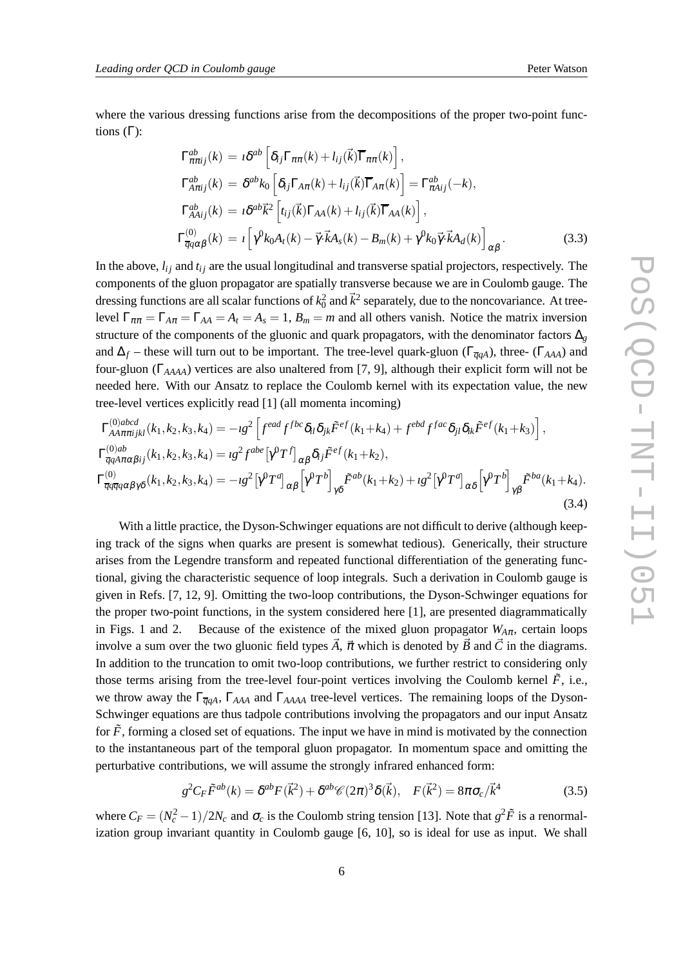where the various dressing functions arise from the decompositions of the proper two-point functions  $(Γ)$ :

$$
\Gamma_{\pi\pi ij}^{ab}(k) = i\delta^{ab} \left[ \delta_{ij} \Gamma_{\pi\pi}(k) + l_{ij}(\vec{k}) \overline{\Gamma}_{\pi\pi}(k) \right],
$$
  
\n
$$
\Gamma_{A\pi ij}^{ab}(k) = \delta^{ab} k_0 \left[ \delta_{ij} \Gamma_{A\pi}(k) + l_{ij}(\vec{k}) \overline{\Gamma}_{A\pi}(k) \right] = \Gamma_{\pi A ij}^{ab}(-k),
$$
  
\n
$$
\Gamma_{A A ij}^{ab}(k) = i\delta^{ab} \vec{k}^2 \left[ t_{ij}(\vec{k}) \Gamma_{A A}(k) + l_{ij}(\vec{k}) \overline{\Gamma}_{A A}(k) \right],
$$
  
\n
$$
\Gamma_{\overline{q}q\alpha\beta}^{(0)}(k) = i \left[ \gamma^0 k_0 A_t(k) - \vec{\gamma} \cdot \vec{k} A_s(k) - B_m(k) + \gamma^0 k_0 \vec{\gamma} \cdot \vec{k} A_d(k) \right]_{\alpha\beta}.
$$
\n(3.3)

In the above,  $l_{ij}$  and  $t_{ij}$  are the usual longitudinal and transverse spatial projectors, respectively. The components of the gluon propagator are spatially transverse because we are in Coulomb gauge. The dressing functions are all scalar functions of  $k_0^2$  and  $\vec{k}^2$  separately, due to the noncovariance. At treelevel  $\Gamma_{\pi\pi} = \Gamma_{A\pi} = \Gamma_{AA} = A_t = A_s = 1$ ,  $B_m = m$  and all others vanish. Notice the matrix inversion structure of the components of the gluonic and quark propagators, with the denominator factors  $\Delta_g$ and  $\Delta_f$  – these will turn out to be important. The tree-level quark-gluon ( $\Gamma_{\overline{q}qA}$ ), three- ( $\Gamma_{AAA}$ ) and four-gluon (Γ*AAAA*) vertices are also unaltered from [7, 9], although their explicit form will not be needed here. With our Ansatz to replace the Coulomb kernel with its expectation value, the new tree-level vertices explicitly read [1] (all momenta incoming)

$$
\Gamma_{AA\pi\pi ijkl}^{(0)abcd}(k_1, k_2, k_3, k_4) = -ig^2 \left[ f^{ead} f^{fbc} \delta_{il} \delta_{jk} \tilde{F}^{ef}(k_1 + k_4) + f^{ebd} f^{fac} \delta_{jl} \delta_{ik} \tilde{F}^{ef}(k_1 + k_3) \right],
$$
  
\n
$$
\Gamma_{\overline{q}qA\pi\alpha\beta ij}^{(0)ab}(k_1, k_2, k_3, k_4) = ig^2 f^{abe} \left[ \gamma^0 T^f \right]_{\alpha\beta} \delta_{ij} \tilde{F}^{ef}(k_1 + k_2),
$$
  
\n
$$
\Gamma_{\overline{q}q\overline{q}q\overline{\alpha}\beta\gamma\delta}^{(0)}(k_1, k_2, k_3, k_4) = -ig^2 \left[ \gamma^0 T^d \right]_{\alpha\beta} \left[ \gamma^0 T^b \right]_{\gamma\delta} \tilde{F}^{ab}(k_1 + k_2) + ig^2 \left[ \gamma^0 T^d \right]_{\alpha\delta} \left[ \gamma^0 T^b \right]_{\gamma\beta} \tilde{F}^{ba}(k_1 + k_4).
$$
\n(3.4)

With a little practice, the Dyson-Schwinger equations are not difficult to derive (although keeping track of the signs when quarks are present is somewhat tedious). Generically, their structure arises from the Legendre transform and repeated functional differentiation of the generating functional, giving the characteristic sequence of loop integrals. Such a derivation in Coulomb gauge is given in Refs. [7, 12, 9]. Omitting the two-loop contributions, the Dyson-Schwinger equations for the proper two-point functions, in the system considered here [1], are presented diagrammatically in Figs. 1 and 2. Because of the existence of the mixed gluon propagator  $W_{A\pi}$ , certain loops involve a sum over the two gluonic field types  $\vec{A}$ ,  $\vec{\pi}$  which is denoted by  $\vec{B}$  and  $\vec{C}$  in the diagrams. In addition to the truncation to omit two-loop contributions, we further restrict to considering only those terms arising from the tree-level four-point vertices involving the Coulomb kernel  $\tilde{F}$ , i.e., we throw away the Γ*qqA*, Γ*AAA* and Γ*AAAA* tree-level vertices. The remaining loops of the Dyson-Schwinger equations are thus tadpole contributions involving the propagators and our input Ansatz for  $\tilde{F}$ , forming a closed set of equations. The input we have in mind is motivated by the connection to the instantaneous part of the temporal gluon propagator. In momentum space and omitting the perturbative contributions, we will assume the strongly infrared enhanced form:

$$
g^2 C_F \tilde{F}^{ab}(k) = \delta^{ab} F(\vec{k}^2) + \delta^{ab} \mathscr{C}(2\pi)^3 \delta(\vec{k}), \quad F(\vec{k}^2) = 8\pi \sigma_c / \vec{k}^4 \tag{3.5}
$$

where  $C_F = (N_c^2 - 1)/2N_c$  and  $\sigma_c$  is the Coulomb string tension [13]. Note that  $g^2 \tilde{F}$  is a renormalization group invariant quantity in Coulomb gauge [6, 10], so is ideal for use as input. We shall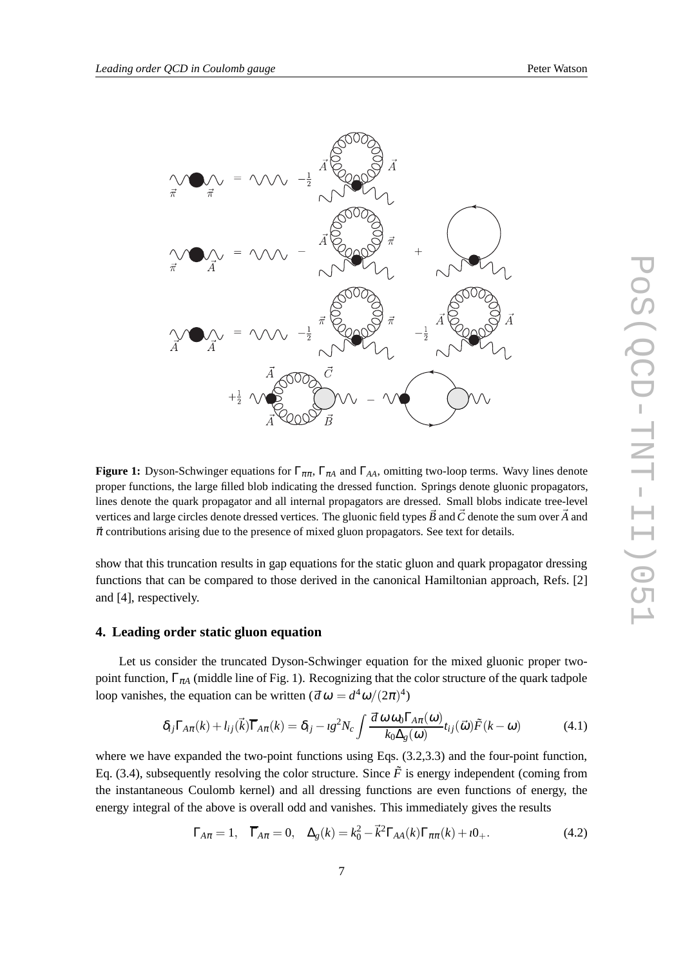

**Figure 1:** Dyson-Schwinger equations for  $\Gamma_{\pi\pi}$ ,  $\Gamma_{\pi A}$  and  $\Gamma_{AA}$ , omitting two-loop terms. Wavy lines denote proper functions, the large filled blob indicating the dressed function. Springs denote gluonic propagators, lines denote the quark propagator and all internal propagators are dressed. Small blobs indicate tree-level vertices and large circles denote dressed vertices. The gluonic field types  $\vec{B}$  and  $\vec{C}$  denote the sum over  $\vec{A}$  and  $\vec{\pi}$  contributions arising due to the presence of mixed gluon propagators. See text for details.

show that this truncation results in gap equations for the static gluon and quark propagator dressing functions that can be compared to those derived in the canonical Hamiltonian approach, Refs. [2] and [4], respectively.

#### **4. Leading order static gluon equation**

Let us consider the truncated Dyson-Schwinger equation for the mixed gluonic proper twopoint function,  $\Gamma_{\pi A}$  (middle line of Fig. 1). Recognizing that the color structure of the quark tadpole loop vanishes, the equation can be written  $(d \omega = d^4 \omega / (2\pi)^4)$ 

$$
\delta_{ij}\Gamma_{A\pi}(k) + l_{ij}(\vec{k})\overline{\Gamma}_{A\pi}(k) = \delta_{ij} - ig^2 N_c \int \frac{d\omega \omega_0 \Gamma_{A\pi}(\omega)}{k_0 \Delta_g(\omega)} t_{ij}(\vec{\omega}) \tilde{F}(k-\omega) \tag{4.1}
$$

where we have expanded the two-point functions using Eqs. (3.2,3.3) and the four-point function, Eq. (3.4), subsequently resolving the color structure. Since  $\tilde{F}$  is energy independent (coming from the instantaneous Coulomb kernel) and all dressing functions are even functions of energy, the energy integral of the above is overall odd and vanishes. This immediately gives the results

$$
\Gamma_{A\pi} = 1, \quad \overline{\Gamma}_{A\pi} = 0, \quad \Delta_g(k) = k_0^2 - \vec{k}^2 \Gamma_{AA}(k) \Gamma_{\pi\pi}(k) + i0_+.
$$
 (4.2)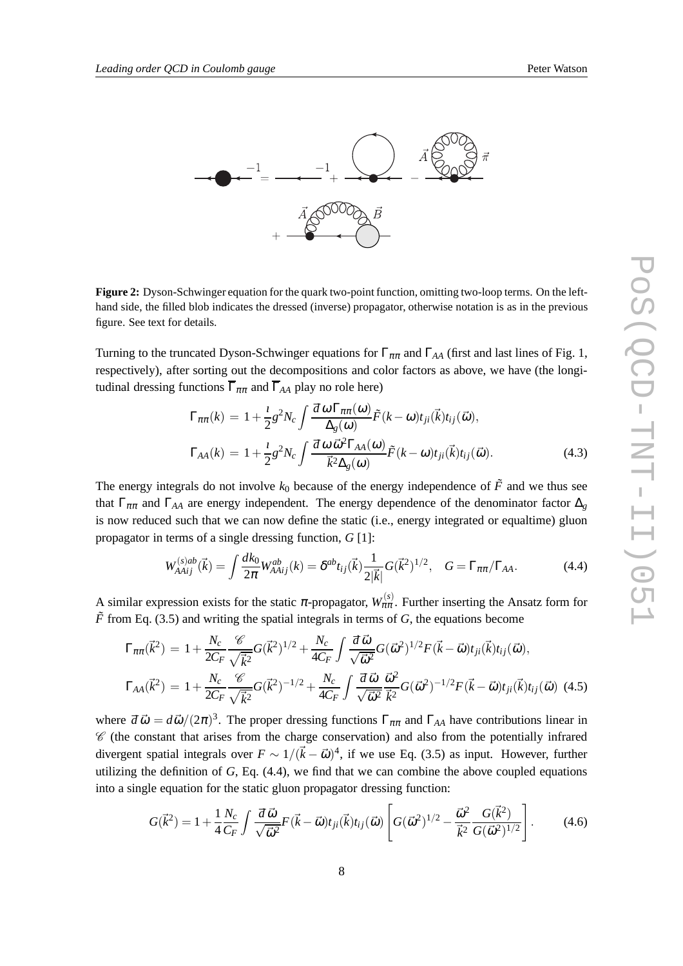

**Figure 2:** Dyson-Schwinger equation for the quark two-point function, omitting two-loop terms. On the lefthand side, the filled blob indicates the dressed (inverse) propagator, otherwise notation is as in the previous figure. See text for details.

Turning to the truncated Dyson-Schwinger equations for  $\Gamma_{\pi\pi}$  and  $\Gamma_{AA}$  (first and last lines of Fig. 1, respectively), after sorting out the decompositions and color factors as above, we have (the longitudinal dressing functions  $\overline{\Gamma}_{\pi\pi}$  and  $\overline{\Gamma}_{AA}$  play no role here)

$$
\Gamma_{\pi\pi}(k) = 1 + \frac{i}{2}g^2 N_c \int \frac{d\omega \Gamma_{\pi\pi}(\omega)}{\Delta_g(\omega)} \tilde{F}(k-\omega) t_{ji}(\vec{k}) t_{ij}(\vec{\omega}),
$$
  
\n
$$
\Gamma_{AA}(k) = 1 + \frac{i}{2}g^2 N_c \int \frac{d\omega \vec{\omega}^2 \Gamma_{AA}(\omega)}{\vec{k}^2 \Delta_g(\omega)} \tilde{F}(k-\omega) t_{ji}(\vec{k}) t_{ij}(\vec{\omega}).
$$
\n(4.3)

The energy integrals do not involve  $k_0$  because of the energy independence of  $\tilde{F}$  and we thus see that  $\Gamma_{\pi\pi}$  and  $\Gamma_{AA}$  are energy independent. The energy dependence of the denominator factor  $\Delta_g$ is now reduced such that we can now define the static (i.e., energy integrated or equaltime) gluon propagator in terms of a single dressing function, *G* [1]:

$$
W_{A A i j}^{(s)ab}(\vec{k}) = \int \frac{dk_0}{2\pi} W_{A A i j}^{ab}(k) = \delta^{ab} t_{ij}(\vec{k}) \frac{1}{2|\vec{k}|} G(\vec{k}^2)^{1/2}, \quad G = \Gamma_{\pi\pi} / \Gamma_{AA}.
$$
 (4.4)

A similar expression exists for the static  $\pi$ -propagator,  $W_{\pi\pi}^{(s)}$ . Further inserting the Ansatz form for  $\tilde{F}$  from Eq. (3.5) and writing the spatial integrals in terms of *G*, the equations become

$$
\Gamma_{\pi\pi}(\vec{k}^2) = 1 + \frac{N_c}{2C_F} \frac{\mathcal{C}}{\sqrt{\vec{k}^2}} G(\vec{k}^2)^{1/2} + \frac{N_c}{4C_F} \int \frac{d\,\vec{\omega}}{\sqrt{\vec{\omega}^2}} G(\vec{\omega}^2)^{1/2} F(\vec{k} - \vec{\omega}) t_{ji}(\vec{k}) t_{ij}(\vec{\omega}),
$$
\n
$$
\Gamma_{AA}(\vec{k}^2) = 1 + \frac{N_c}{2C_F} \frac{\mathcal{C}}{\sqrt{\vec{k}^2}} G(\vec{k}^2)^{-1/2} + \frac{N_c}{4C_F} \int \frac{d\,\vec{\omega}}{\sqrt{\vec{\omega}^2}} \frac{\vec{\omega}^2}{\vec{k}^2} G(\vec{\omega}^2)^{-1/2} F(\vec{k} - \vec{\omega}) t_{ji}(\vec{k}) t_{ij}(\vec{\omega}) \tag{4.5}
$$

where  $d\vec{\omega} = d\vec{\omega}/(2\pi)^3$ . The proper dressing functions  $\Gamma_{\pi\pi}$  and  $\Gamma_{AA}$  have contributions linear in  $\mathscr C$  (the constant that arises from the charge conservation) and also from the potentially infrared divergent spatial integrals over  $F \sim 1/(\vec{k} - \vec{\omega})^4$ , if we use Eq. (3.5) as input. However, further utilizing the definition of *G*, Eq. (4.4), we find that we can combine the above coupled equations into a single equation for the static gluon propagator dressing function:

$$
G(\vec{k}^2) = 1 + \frac{1}{4} \frac{N_c}{C_F} \int \frac{d\,\vec{\omega}}{\sqrt{\vec{\omega}^2}} F(\vec{k} - \vec{\omega}) t_{ji}(\vec{k}) t_{ij}(\vec{\omega}) \left[ G(\vec{\omega}^2)^{1/2} - \frac{\vec{\omega}^2}{\vec{k}^2} \frac{G(\vec{k}^2)}{G(\vec{\omega}^2)^{1/2}} \right].
$$
 (4.6)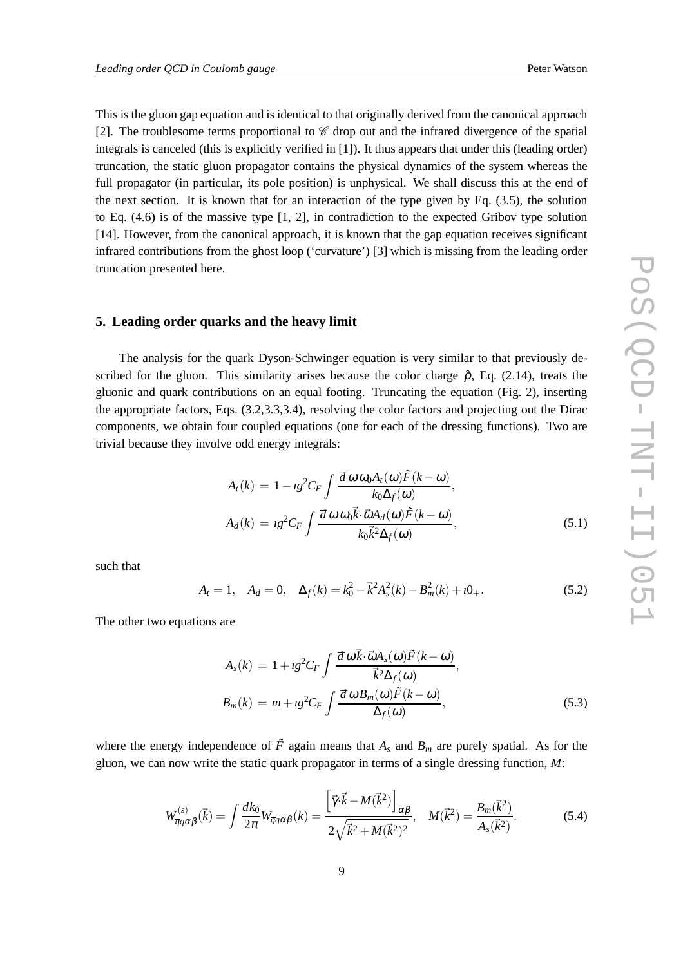This is the gluon gap equation and is identical to that originally derived from the canonical approach [2]. The troublesome terms proportional to  $\mathscr C$  drop out and the infrared divergence of the spatial integrals is canceled (this is explicitly verified in [1]). It thus appears that under this (leading order) truncation, the static gluon propagator contains the physical dynamics of the system whereas the full propagator (in particular, its pole position) is unphysical. We shall discuss this at the end of the next section. It is known that for an interaction of the type given by Eq. (3.5), the solution to Eq. (4.6) is of the massive type [1, 2], in contradiction to the expected Gribov type solution [14]. However, from the canonical approach, it is known that the gap equation receives significant infrared contributions from the ghost loop ('curvature') [3] which is missing from the leading order truncation presented here.

## **5. Leading order quarks and the heavy limit**

The analysis for the quark Dyson-Schwinger equation is very similar to that previously described for the gluon. This similarity arises because the color charge  $\hat{\rho}$ , Eq. (2.14), treats the gluonic and quark contributions on an equal footing. Truncating the equation (Fig. 2), inserting the appropriate factors, Eqs. (3.2,3.3,3.4), resolving the color factors and projecting out the Dirac components, we obtain four coupled equations (one for each of the dressing functions). Two are trivial because they involve odd energy integrals:

$$
A_t(k) = 1 - \iota g^2 C_F \int \frac{d\omega \omega_0 A_t(\omega) \tilde{F}(k - \omega)}{k_0 \Delta_f(\omega)},
$$
  

$$
A_d(k) = \iota g^2 C_F \int \frac{d\omega \omega_0 \vec{k} \cdot \vec{\omega} A_d(\omega) \tilde{F}(k - \omega)}{k_0 \vec{k}^2 \Delta_f(\omega)},
$$
(5.1)

such that

$$
A_t = 1, \quad A_d = 0, \quad \Delta_f(k) = k_0^2 - \vec{k}^2 A_s^2(k) - B_m^2(k) + i0_+.
$$
 (5.2)

The other two equations are

$$
A_s(k) = 1 + \iota g^2 C_F \int \frac{d\,\omega \vec{k} \cdot \vec{\omega} A_s(\omega) \tilde{F}(k-\omega)}{\vec{k}^2 \Delta_f(\omega)},
$$
  
\n
$$
B_m(k) = m + \iota g^2 C_F \int \frac{d\,\omega B_m(\omega) \tilde{F}(k-\omega)}{\Delta_f(\omega)},
$$
\n(5.3)

where the energy independence of  $\tilde{F}$  again means that  $A_s$  and  $B_m$  are purely spatial. As for the gluon, we can now write the static quark propagator in terms of a single dressing function, *M*:

$$
W_{\overline{q}q\alpha\beta}^{(s)}(\vec{k}) = \int \frac{dk_0}{2\pi} W_{\overline{q}q\alpha\beta}(k) = \frac{\left[\vec{\gamma} \cdot \vec{k} - M(\vec{k}^2)\right]_{\alpha\beta}}{2\sqrt{\vec{k}^2 + M(\vec{k}^2)^2}}, \quad M(\vec{k}^2) = \frac{B_m(\vec{k}^2)}{A_s(\vec{k}^2)}.
$$
 (5.4)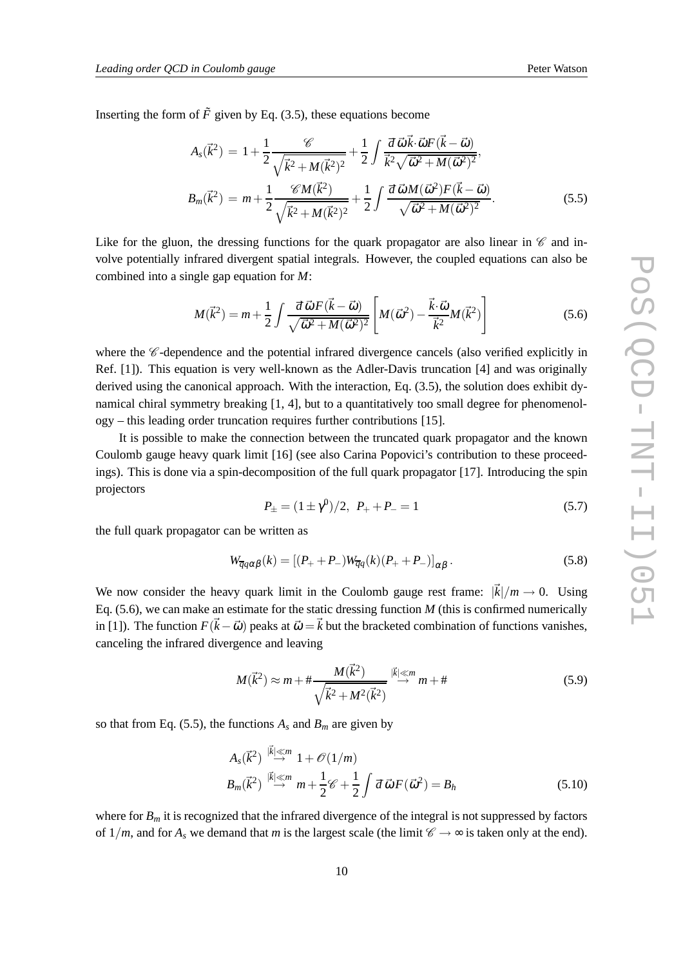Inserting the form of  $\tilde{F}$  given by Eq. (3.5), these equations become

$$
A_{s}(\vec{k}^{2}) = 1 + \frac{1}{2} \frac{\mathscr{C}}{\sqrt{\vec{k}^{2} + M(\vec{k}^{2})^{2}}} + \frac{1}{2} \int \frac{d\,\vec{\omega}\,\vec{k}\cdot\vec{\omega}F(\vec{k}-\vec{\omega})}{\vec{k}^{2}\sqrt{\vec{\omega}^{2} + M(\vec{\omega}^{2})^{2}}},
$$
  

$$
B_{m}(\vec{k}^{2}) = m + \frac{1}{2} \frac{\mathscr{C}M(\vec{k}^{2})}{\sqrt{\vec{k}^{2} + M(\vec{k}^{2})^{2}}} + \frac{1}{2} \int \frac{d\,\vec{\omega}\,M(\vec{\omega}^{2})F(\vec{k}-\vec{\omega})}{\sqrt{\vec{\omega}^{2} + M(\vec{\omega}^{2})^{2}}}.
$$
(5.5)

Like for the gluon, the dressing functions for the quark propagator are also linear in  $\mathscr C$  and involve potentially infrared divergent spatial integrals. However, the coupled equations can also be combined into a single gap equation for *M*:

$$
M(\vec{k}^2) = m + \frac{1}{2} \int \frac{d\,\vec{\omega}\,F(\vec{k} - \vec{\omega})}{\sqrt{\vec{\omega}^2 + M(\vec{\omega}^2)^2}} \left[ M(\vec{\omega}^2) - \frac{\vec{k}\cdot\vec{\omega}}{\vec{k}^2} M(\vec{k}^2) \right]
$$
(5.6)

where the  $\mathscr C$ -dependence and the potential infrared divergence cancels (also verified explicitly in Ref. [1]). This equation is very well-known as the Adler-Davis truncation [4] and was originally derived using the canonical approach. With the interaction, Eq. (3.5), the solution does exhibit dynamical chiral symmetry breaking [1, 4], but to a quantitatively too small degree for phenomenology – this leading order truncation requires further contributions [15].

It is possible to make the connection between the truncated quark propagator and the known Coulomb gauge heavy quark limit [16] (see also Carina Popovici's contribution to these proceedings). This is done via a spin-decomposition of the full quark propagator [17]. Introducing the spin projectors

$$
P_{\pm} = (1 \pm \gamma^0)/2, \ P_{+} + P_{-} = 1 \tag{5.7}
$$

the full quark propagator can be written as

$$
W_{\overline{q}q\alpha\beta}(k) = [(P_{+} + P_{-})W_{\overline{q}q}(k)(P_{+} + P_{-})]_{\alpha\beta}.
$$
\n(5.8)

We now consider the heavy quark limit in the Coulomb gauge rest frame:  $|\vec{k}|/m \rightarrow 0$ . Using Eq. (5.6), we can make an estimate for the static dressing function *M* (this is confirmed numerically in [1]). The function  $F(\vec{k} - \vec{\omega})$  peaks at  $\vec{\omega} = \vec{k}$  but the bracketed combination of functions vanishes, canceling the infrared divergence and leaving

$$
M(\vec{k}^2) \approx m + \# \frac{M(\vec{k}^2)}{\sqrt{\vec{k}^2 + M^2(\vec{k}^2)}} \stackrel{|\vec{k}| \ll m}{\longrightarrow} m + \# \tag{5.9}
$$

so that from Eq. (5.5), the functions  $A_s$  and  $B_m$  are given by

$$
A_s(\vec{k}^2) \stackrel{|\vec{k}| \ll m}{\rightarrow} 1 + \mathcal{O}(1/m)
$$
  
\n
$$
B_m(\vec{k}^2) \stackrel{|\vec{k}| \ll m}{\rightarrow} m + \frac{1}{2} \mathcal{C} + \frac{1}{2} \int d\vec{\omega} F(\vec{\omega}^2) = B_h
$$
 (5.10)

where for  $B_m$  it is recognized that the infrared divergence of the integral is not suppressed by factors of  $1/m$ , and for  $A_s$  we demand that *m* is the largest scale (the limit  $\mathscr{C} \to \infty$  is taken only at the end).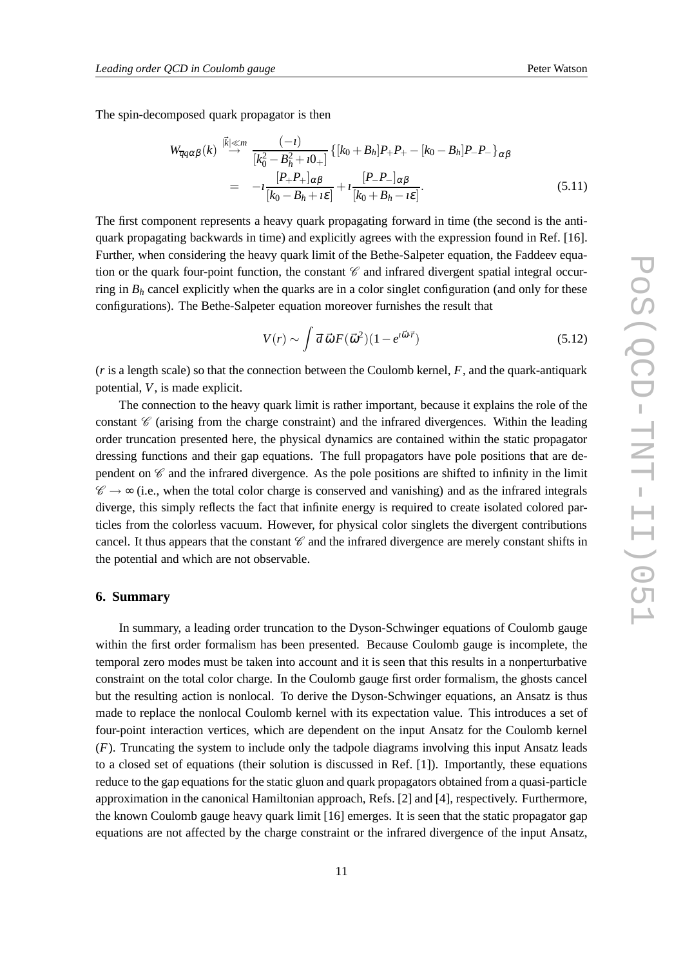The spin-decomposed quark propagator is then

$$
W_{\overline{q}q\alpha\beta}(k) \stackrel{|\vec{k}| \ll m}{\to} \frac{(-i)}{[k_0^2 - B_h^2 + i0_+]} \{ [k_0 + B_h]P_+P_+ - [k_0 - B_h]P_-P_-\}_{\alpha\beta} \newline = -i \frac{[P_+P_+]_{\alpha\beta}}{[k_0 - B_h + i\varepsilon]} + i \frac{[P_-P_-]_{\alpha\beta}}{[k_0 + B_h - i\varepsilon]}.
$$
\n(5.11)

The first component represents a heavy quark propagating forward in time (the second is the antiquark propagating backwards in time) and explicitly agrees with the expression found in Ref. [16]. Further, when considering the heavy quark limit of the Bethe-Salpeter equation, the Faddeev equation or the quark four-point function, the constant  $\mathscr C$  and infrared divergent spatial integral occurring in  $B_h$  cancel explicitly when the quarks are in a color singlet configuration (and only for these configurations). The Bethe-Salpeter equation moreover furnishes the result that

$$
V(r) \sim \int d\vec{\omega} F(\vec{\omega}^2)(1 - e^{i\vec{\omega}\cdot\vec{r}})
$$
\n(5.12)

(*r* is a length scale) so that the connection between the Coulomb kernel, *F*, and the quark-antiquark potential, *V*, is made explicit.

The connection to the heavy quark limit is rather important, because it explains the role of the constant  $\mathscr C$  (arising from the charge constraint) and the infrared divergences. Within the leading order truncation presented here, the physical dynamics are contained within the static propagator dressing functions and their gap equations. The full propagators have pole positions that are dependent on  $\mathscr C$  and the infrared divergence. As the pole positions are shifted to infinity in the limit  $\mathscr{C} \rightarrow \infty$  (i.e., when the total color charge is conserved and vanishing) and as the infrared integrals diverge, this simply reflects the fact that infinite energy is required to create isolated colored particles from the colorless vacuum. However, for physical color singlets the divergent contributions cancel. It thus appears that the constant  $\mathscr C$  and the infrared divergence are merely constant shifts in the potential and which are not observable.

## **6. Summary**

In summary, a leading order truncation to the Dyson-Schwinger equations of Coulomb gauge within the first order formalism has been presented. Because Coulomb gauge is incomplete, the temporal zero modes must be taken into account and it is seen that this results in a nonperturbative constraint on the total color charge. In the Coulomb gauge first order formalism, the ghosts cancel but the resulting action is nonlocal. To derive the Dyson-Schwinger equations, an Ansatz is thus made to replace the nonlocal Coulomb kernel with its expectation value. This introduces a set of four-point interaction vertices, which are dependent on the input Ansatz for the Coulomb kernel (*F*). Truncating the system to include only the tadpole diagrams involving this input Ansatz leads to a closed set of equations (their solution is discussed in Ref. [1]). Importantly, these equations reduce to the gap equations for the static gluon and quark propagators obtained from a quasi-particle approximation in the canonical Hamiltonian approach, Refs. [2] and [4], respectively. Furthermore, the known Coulomb gauge heavy quark limit [16] emerges. It is seen that the static propagator gap equations are not affected by the charge constraint or the infrared divergence of the input Ansatz,